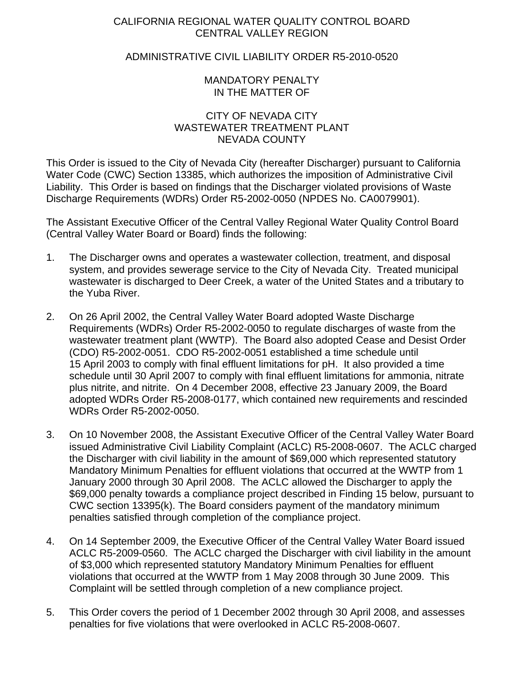## CALIFORNIA REGIONAL WATER QUALITY CONTROL BOARD CENTRAL VALLEY REGION

## ADMINISTRATIVE CIVIL LIABILITY ORDER R5-2010-0520

## MANDATORY PENALTY IN THE MATTER OF

## CITY OF NEVADA CITY WASTEWATER TREATMENT PLANT NEVADA COUNTY

This Order is issued to the City of Nevada City (hereafter Discharger) pursuant to California Water Code (CWC) Section 13385, which authorizes the imposition of Administrative Civil Liability. This Order is based on findings that the Discharger violated provisions of Waste Discharge Requirements (WDRs) Order R5-2002-0050 (NPDES No. CA0079901).

The Assistant Executive Officer of the Central Valley Regional Water Quality Control Board (Central Valley Water Board or Board) finds the following:

- 1. The Discharger owns and operates a wastewater collection, treatment, and disposal system, and provides sewerage service to the City of Nevada City. Treated municipal wastewater is discharged to Deer Creek, a water of the United States and a tributary to the Yuba River.
- 2. On 26 April 2002, the Central Valley Water Board adopted Waste Discharge Requirements (WDRs) Order R5-2002-0050 to regulate discharges of waste from the wastewater treatment plant (WWTP). The Board also adopted Cease and Desist Order (CDO) R5-2002-0051. CDO R5-2002-0051 established a time schedule until 15 April 2003 to comply with final effluent limitations for pH. It also provided a time schedule until 30 April 2007 to comply with final effluent limitations for ammonia, nitrate plus nitrite, and nitrite. On 4 December 2008, effective 23 January 2009, the Board adopted WDRs Order R5-2008-0177, which contained new requirements and rescinded WDRs Order R5-2002-0050.
- 3. On 10 November 2008, the Assistant Executive Officer of the Central Valley Water Board issued Administrative Civil Liability Complaint (ACLC) R5-2008-0607. The ACLC charged the Discharger with civil liability in the amount of \$69,000 which represented statutory Mandatory Minimum Penalties for effluent violations that occurred at the WWTP from 1 January 2000 through 30 April 2008. The ACLC allowed the Discharger to apply the \$69,000 penalty towards a compliance project described in Finding 15 below, pursuant to CWC section 13395(k). The Board considers payment of the mandatory minimum penalties satisfied through completion of the compliance project.
- 4. On 14 September 2009, the Executive Officer of the Central Valley Water Board issued ACLC R5-2009-0560. The ACLC charged the Discharger with civil liability in the amount of \$3,000 which represented statutory Mandatory Minimum Penalties for effluent violations that occurred at the WWTP from 1 May 2008 through 30 June 2009. This Complaint will be settled through completion of a new compliance project.
- 5. This Order covers the period of 1 December 2002 through 30 April 2008, and assesses penalties for five violations that were overlooked in ACLC R5-2008-0607.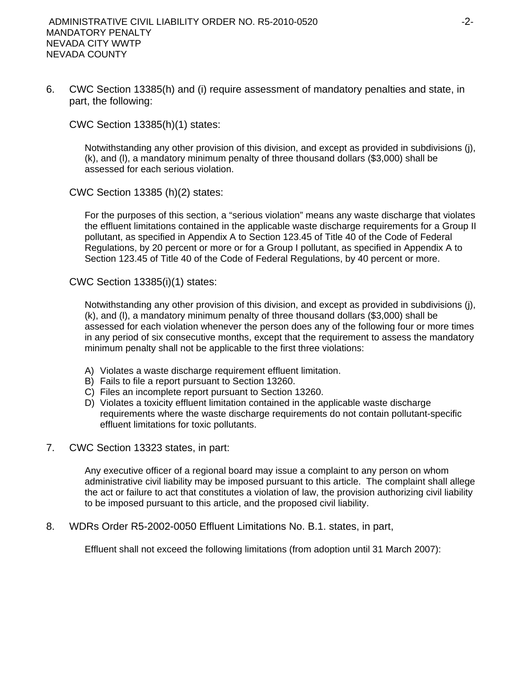6. CWC Section 13385(h) and (i) require assessment of mandatory penalties and state, in part, the following:

CWC Section 13385(h)(1) states:

Notwithstanding any other provision of this division, and except as provided in subdivisions (j), (k), and (l), a mandatory minimum penalty of three thousand dollars (\$3,000) shall be assessed for each serious violation.

CWC Section 13385 (h)(2) states:

For the purposes of this section, a "serious violation" means any waste discharge that violates the effluent limitations contained in the applicable waste discharge requirements for a Group II pollutant, as specified in Appendix A to Section 123.45 of Title 40 of the Code of Federal Regulations, by 20 percent or more or for a Group I pollutant, as specified in Appendix A to Section 123.45 of Title 40 of the Code of Federal Regulations, by 40 percent or more.

CWC Section 13385(i)(1) states:

Notwithstanding any other provision of this division, and except as provided in subdivisions (j), (k), and (l), a mandatory minimum penalty of three thousand dollars (\$3,000) shall be assessed for each violation whenever the person does any of the following four or more times in any period of six consecutive months, except that the requirement to assess the mandatory minimum penalty shall not be applicable to the first three violations:

- A) Violates a waste discharge requirement effluent limitation.
- B) Fails to file a report pursuant to Section 13260.
- C) Files an incomplete report pursuant to Section 13260.
- D) Violates a toxicity effluent limitation contained in the applicable waste discharge requirements where the waste discharge requirements do not contain pollutant-specific effluent limitations for toxic pollutants.
- 7. CWC Section 13323 states, in part:

Any executive officer of a regional board may issue a complaint to any person on whom administrative civil liability may be imposed pursuant to this article. The complaint shall allege the act or failure to act that constitutes a violation of law, the provision authorizing civil liability to be imposed pursuant to this article, and the proposed civil liability.

8. WDRs Order R5-2002-0050 Effluent Limitations No. B.1. states, in part,

Effluent shall not exceed the following limitations (from adoption until 31 March 2007):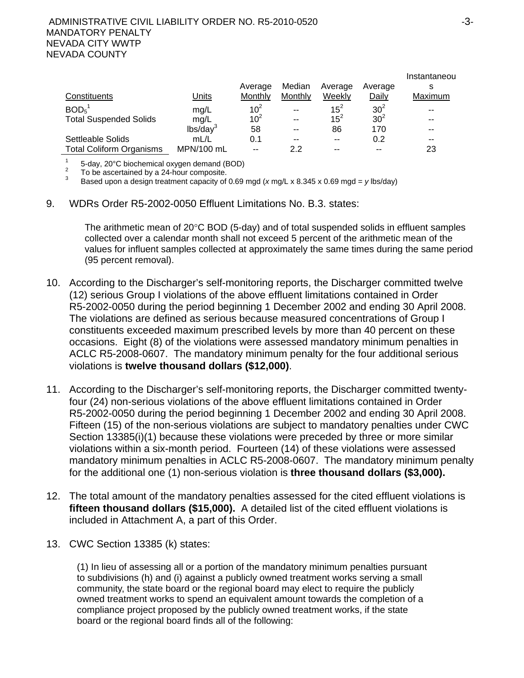|                                 |                      |                 |               |          |                 | Instantaneou |
|---------------------------------|----------------------|-----------------|---------------|----------|-----------------|--------------|
|                                 |                      | Average         | Median        | Average  | Average         | s            |
| Constituents                    | <u>Units</u>         | Monthly         | Monthly       | Weekly   | Daily           | Maximum      |
| BOD <sub>5</sub>                | mg/L                 | $10^2$          | $\sim$ $\sim$ | $15^2$   | $30^2$          | --           |
| <b>Total Suspended Solids</b>   | mq/L                 | 10 <sup>2</sup> | $\sim$ $\sim$ | $15^{2}$ | 30 <sup>2</sup> | --           |
|                                 | lbs/day <sup>3</sup> | 58              | $-$           | 86       | 170             | --           |
| Settleable Solids               | mL/L                 | 0.1             | $-$           | $- -$    | 0.2             | --           |
| <b>Total Coliform Organisms</b> | MPN/100 mL           | $-$             | 2.2           | --       | --              | 23           |

<sup>1</sup> 5-day, 20°C biochemical oxygen demand (BOD)<br><sup>2</sup> To be ascertained by a 24-hour composite.<br><sup>3</sup> Beard upon a degine treatment conseity of 0.69.

Based upon a design treatment capacity of 0.69 mgd (*x* mg/L x 8.345 x 0.69 mgd = *y* lbs/day)

9. WDRs Order R5-2002-0050 Effluent Limitations No. B.3. states:

The arithmetic mean of 20°C BOD (5-day) and of total suspended solids in effluent samples collected over a calendar month shall not exceed 5 percent of the arithmetic mean of the values for influent samples collected at approximately the same times during the same period (95 percent removal).

- 10. According to the Discharger's self-monitoring reports, the Discharger committed twelve (12) serious Group I violations of the above effluent limitations contained in Order R5-2002-0050 during the period beginning 1 December 2002 and ending 30 April 2008. The violations are defined as serious because measured concentrations of Group I constituents exceeded maximum prescribed levels by more than 40 percent on these occasions. Eight (8) of the violations were assessed mandatory minimum penalties in ACLC R5-2008-0607. The mandatory minimum penalty for the four additional serious violations is **twelve thousand dollars (\$12,000)**.
- 11. According to the Discharger's self-monitoring reports, the Discharger committed twentyfour (24) non-serious violations of the above effluent limitations contained in Order R5-2002-0050 during the period beginning 1 December 2002 and ending 30 April 2008. Fifteen (15) of the non-serious violations are subject to mandatory penalties under CWC Section 13385(i)(1) because these violations were preceded by three or more similar violations within a six-month period. Fourteen (14) of these violations were assessed mandatory minimum penalties in ACLC R5-2008-0607. The mandatory minimum penalty for the additional one (1) non-serious violation is **three thousand dollars (\$3,000).**
- 12. The total amount of the mandatory penalties assessed for the cited effluent violations is **fifteen thousand dollars (\$15,000).** A detailed list of the cited effluent violations is included in Attachment A, a part of this Order.
- 13. CWC Section 13385 (k) states:

(1) In lieu of assessing all or a portion of the mandatory minimum penalties pursuant to subdivisions (h) and (i) against a publicly owned treatment works serving a small community, the state board or the regional board may elect to require the publicly owned treatment works to spend an equivalent amount towards the completion of a compliance project proposed by the publicly owned treatment works, if the state board or the regional board finds all of the following: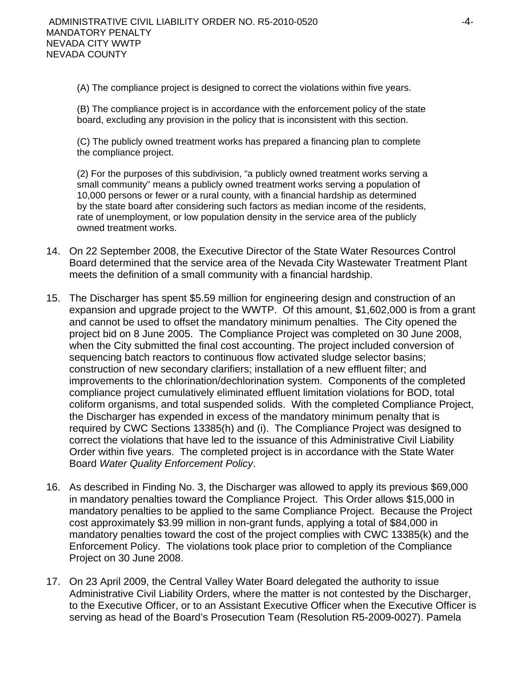(A) The compliance project is designed to correct the violations within five years.

(B) The compliance project is in accordance with the enforcement policy of the state board, excluding any provision in the policy that is inconsistent with this section.

(C) The publicly owned treatment works has prepared a financing plan to complete the compliance project.

(2) For the purposes of this subdivision, "a publicly owned treatment works serving a small community" means a publicly owned treatment works serving a population of 10,000 persons or fewer or a rural county, with a financial hardship as determined by the state board after considering such factors as median income of the residents, rate of unemployment, or low population density in the service area of the publicly owned treatment works.

- 14. On 22 September 2008, the Executive Director of the State Water Resources Control Board determined that the service area of the Nevada City Wastewater Treatment Plant meets the definition of a small community with a financial hardship.
- 15. The Discharger has spent \$5.59 million for engineering design and construction of an expansion and upgrade project to the WWTP. Of this amount, \$1,602,000 is from a grant and cannot be used to offset the mandatory minimum penalties. The City opened the project bid on 8 June 2005. The Compliance Project was completed on 30 June 2008, when the City submitted the final cost accounting. The project included conversion of sequencing batch reactors to continuous flow activated sludge selector basins; construction of new secondary clarifiers; installation of a new effluent filter; and improvements to the chlorination/dechlorination system. Components of the completed compliance project cumulatively eliminated effluent limitation violations for BOD, total coliform organisms, and total suspended solids. With the completed Compliance Project, the Discharger has expended in excess of the mandatory minimum penalty that is required by CWC Sections 13385(h) and (i). The Compliance Project was designed to correct the violations that have led to the issuance of this Administrative Civil Liability Order within five years. The completed project is in accordance with the State Water Board *Water Quality Enforcement Policy*.
- 16. As described in Finding No. 3, the Discharger was allowed to apply its previous \$69,000 in mandatory penalties toward the Compliance Project. This Order allows \$15,000 in mandatory penalties to be applied to the same Compliance Project. Because the Project cost approximately \$3.99 million in non-grant funds, applying a total of \$84,000 in mandatory penalties toward the cost of the project complies with CWC 13385(k) and the Enforcement Policy. The violations took place prior to completion of the Compliance Project on 30 June 2008.
- 17. On 23 April 2009, the Central Valley Water Board delegated the authority to issue Administrative Civil Liability Orders, where the matter is not contested by the Discharger, to the Executive Officer, or to an Assistant Executive Officer when the Executive Officer is serving as head of the Board's Prosecution Team (Resolution R5-2009-0027). Pamela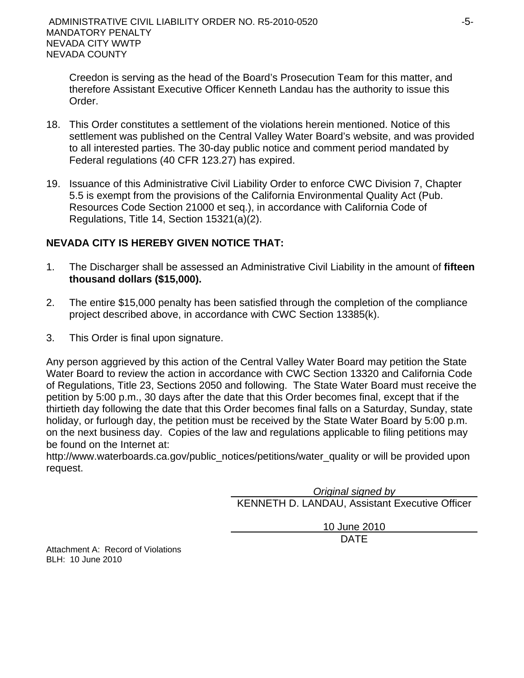Creedon is serving as the head of the Board's Prosecution Team for this matter, and therefore Assistant Executive Officer Kenneth Landau has the authority to issue this Order.

- 18. This Order constitutes a settlement of the violations herein mentioned. Notice of this settlement was published on the Central Valley Water Board's website, and was provided to all interested parties. The 30-day public notice and comment period mandated by Federal regulations (40 CFR 123.27) has expired.
- 19. Issuance of this Administrative Civil Liability Order to enforce CWC Division 7, Chapter 5.5 is exempt from the provisions of the California Environmental Quality Act (Pub. Resources Code Section 21000 et seq.), in accordance with California Code of Regulations, Title 14, Section 15321(a)(2).

# **NEVADA CITY IS HEREBY GIVEN NOTICE THAT:**

- 1. The Discharger shall be assessed an Administrative Civil Liability in the amount of **fifteen thousand dollars (\$15,000).**
- 2. The entire \$15,000 penalty has been satisfied through the completion of the compliance project described above, in accordance with CWC Section 13385(k).
- 3. This Order is final upon signature.

Any person aggrieved by this action of the Central Valley Water Board may petition the State Water Board to review the action in accordance with CWC Section 13320 and California Code of Regulations, Title 23, Sections 2050 and following. The State Water Board must receive the petition by 5:00 p.m., 30 days after the date that this Order becomes final, except that if the thirtieth day following the date that this Order becomes final falls on a Saturday, Sunday, state holiday, or furlough day, the petition must be received by the State Water Board by 5:00 p.m. on the next business day. Copies of the law and regulations applicable to filing petitions may be found on the Internet at:

http://www.waterboards.ca.gov/public\_notices/petitions/water\_quality or will be provided upon request.

*Original signed by*

KENNETH D. LANDAU, Assistant Executive Officer

10 June 2010 design and the contract of the contract of the DATE of the contract of the contract of the contract of the contract of the contract of the contract of the contract of the contract of the contract of the contract of the con

Attachment A: Record of Violations BLH: 10 June 2010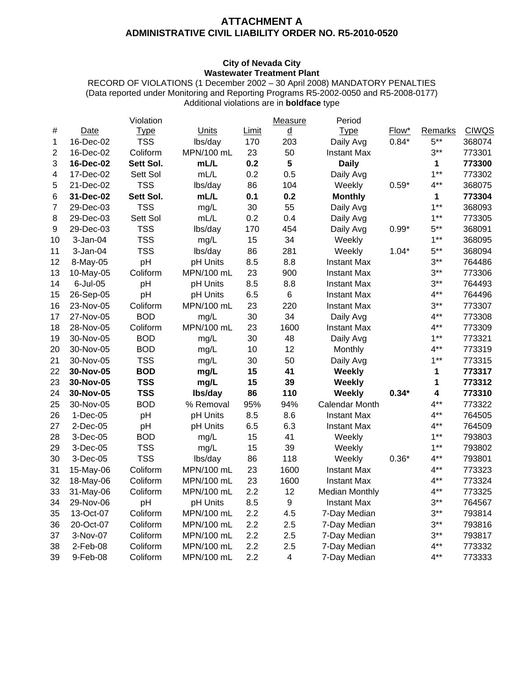### **ATTACHMENT A ADMINISTRATIVE CIVIL LIABILITY ORDER NO. R5-2010-0520**

### **City of Nevada City Wastewater Treatment Plant**

RECORD OF VIOLATIONS (1 December 2002 – 30 April 2008) MANDATORY PENALTIES (Data reported under Monitoring and Reporting Programs R5-2002-0050 and R5-2008-0177) Additional violations are in **boldface** type

|    |             | Violation   |              |              | Measure                 | Period                |         |                         |              |
|----|-------------|-------------|--------------|--------------|-------------------------|-----------------------|---------|-------------------------|--------------|
| #  | <b>Date</b> | <b>Type</b> | <b>Units</b> | <b>Limit</b> | <u>d</u>                | <b>Type</b>           | Flow*   | Remarks                 | <b>CIWQS</b> |
| 1  | 16-Dec-02   | <b>TSS</b>  | lbs/day      | 170          | 203                     | Daily Avg             | $0.84*$ | $5***$                  | 368074       |
| 2  | 16-Dec-02   | Coliform    | MPN/100 mL   | 23           | 50                      | <b>Instant Max</b>    |         | $3***$                  | 773301       |
| 3  | 16-Dec-02   | Sett Sol.   | mL/L         | 0.2          | 5                       | <b>Daily</b>          |         | $\mathbf 1$             | 773300       |
| 4  | 17-Dec-02   | Sett Sol    | mL/L         | 0.2          | 0.5                     | Daily Avg             |         | $1***$                  | 773302       |
| 5  | 21-Dec-02   | <b>TSS</b>  | lbs/day      | 86           | 104                     | Weekly                | $0.59*$ | $4***$                  | 368075       |
| 6  | 31-Dec-02   | Sett Sol.   | mL/L         | 0.1          | 0.2                     | <b>Monthly</b>        |         | 1                       | 773304       |
| 7  | 29-Dec-03   | <b>TSS</b>  | mg/L         | 30           | 55                      | Daily Avg             |         | $1**$                   | 368093       |
| 8  | 29-Dec-03   | Sett Sol    | mL/L         | 0.2          | 0.4                     | Daily Avg             |         | $1***$                  | 773305       |
| 9  | 29-Dec-03   | <b>TSS</b>  | lbs/day      | 170          | 454                     | Daily Avg             | $0.99*$ | $5***$                  | 368091       |
| 10 | 3-Jan-04    | <b>TSS</b>  | mg/L         | 15           | 34                      | Weekly                |         | $1***$                  | 368095       |
| 11 | $3-Jan-04$  | <b>TSS</b>  | lbs/day      | 86           | 281                     | Weekly                | $1.04*$ | $5***$                  | 368094       |
| 12 | 8-May-05    | pH          | pH Units     | 8.5          | 8.8                     | <b>Instant Max</b>    |         | $3***$                  | 764486       |
| 13 | 10-May-05   | Coliform    | MPN/100 mL   | 23           | 900                     | <b>Instant Max</b>    |         | $3***$                  | 773306       |
| 14 | 6-Jul-05    | pH          | pH Units     | 8.5          | 8.8                     | <b>Instant Max</b>    |         | $3***$                  | 764493       |
| 15 | 26-Sep-05   | pH          | pH Units     | 6.5          | 6                       | <b>Instant Max</b>    |         | $4***$                  | 764496       |
| 16 | 23-Nov-05   | Coliform    | MPN/100 mL   | 23           | 220                     | <b>Instant Max</b>    |         | $3***$                  | 773307       |
| 17 | 27-Nov-05   | <b>BOD</b>  | mg/L         | 30           | 34                      | Daily Avg             |         | $4***$                  | 773308       |
| 18 | 28-Nov-05   | Coliform    | MPN/100 mL   | 23           | 1600                    | Instant Max           |         | $4***$                  | 773309       |
| 19 | 30-Nov-05   | <b>BOD</b>  | mg/L         | 30           | 48                      | Daily Avg             |         | $1***$                  | 773321       |
| 20 | 30-Nov-05   | <b>BOD</b>  | mg/L         | 10           | 12                      | Monthly               |         | $4***$                  | 773319       |
| 21 | 30-Nov-05   | <b>TSS</b>  | mg/L         | 30           | 50                      | Daily Avg             |         | $1***$                  | 773315       |
| 22 | 30-Nov-05   | <b>BOD</b>  | mg/L         | 15           | 41                      | Weekly                |         | 1                       | 773317       |
| 23 | 30-Nov-05   | <b>TSS</b>  | mg/L         | 15           | 39                      | <b>Weekly</b>         |         | 1                       | 773312       |
| 24 | 30-Nov-05   | <b>TSS</b>  | lbs/day      | 86           | 110                     | Weekly                | $0.34*$ | $\overline{\mathbf{4}}$ | 773310       |
| 25 | 30-Nov-05   | <b>BOD</b>  | % Removal    | 95%          | 94%                     | <b>Calendar Month</b> |         | $4***$                  | 773322       |
| 26 | $1-Dec-05$  | pH          | pH Units     | 8.5          | 8.6                     | Instant Max           |         | $4***$                  | 764505       |
| 27 | $2$ -Dec-05 | pH          | pH Units     | 6.5          | 6.3                     | <b>Instant Max</b>    |         | $4***$                  | 764509       |
| 28 | 3-Dec-05    | <b>BOD</b>  | mg/L         | 15           | 41                      | Weekly                |         | $1***$                  | 793803       |
| 29 | 3-Dec-05    | <b>TSS</b>  | mg/L         | 15           | 39                      | Weekly                |         | $1***$                  | 793802       |
| 30 | 3-Dec-05    | <b>TSS</b>  | lbs/day      | 86           | 118                     | Weekly                | $0.36*$ | $4***$                  | 793801       |
| 31 | 15-May-06   | Coliform    | MPN/100 mL   | 23           | 1600                    | Instant Max           |         | $4***$                  | 773323       |
| 32 | 18-May-06   | Coliform    | MPN/100 mL   | 23           | 1600                    | <b>Instant Max</b>    |         | $4***$                  | 773324       |
| 33 | 31-May-06   | Coliform    | MPN/100 mL   | 2.2          | 12                      | <b>Median Monthly</b> |         | $4***$                  | 773325       |
| 34 | 29-Nov-06   | pH          | pH Units     | 8.5          | 9                       | <b>Instant Max</b>    |         | $3***$                  | 764567       |
| 35 | 13-Oct-07   | Coliform    | MPN/100 mL   | 2.2          | 4.5                     | 7-Day Median          |         | $3***$                  | 793814       |
| 36 | 20-Oct-07   | Coliform    | MPN/100 mL   | 2.2          | 2.5                     | 7-Day Median          |         | $3***$                  | 793816       |
| 37 | 3-Nov-07    | Coliform    | MPN/100 mL   | 2.2          | 2.5                     | 7-Day Median          |         | $3***$                  | 793817       |
| 38 | 2-Feb-08    | Coliform    | MPN/100 mL   | 2.2          | 2.5                     | 7-Day Median          |         | $4***$                  | 773332       |
| 39 | 9-Feb-08    | Coliform    | MPN/100 mL   | 2.2          | $\overline{\mathbf{4}}$ | 7-Day Median          |         | $4***$                  | 773333       |